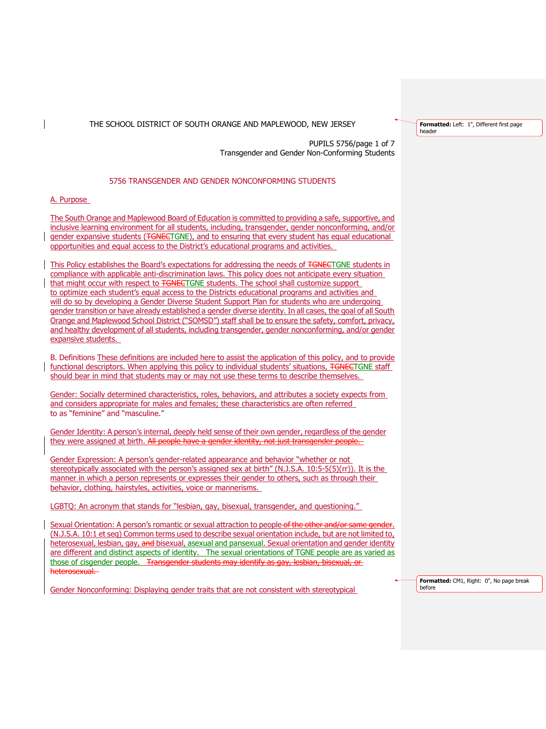PUPILS 5756/page 1 of 7 Transgender and Gender Non-Conforming Students

## 5756 TRANSGENDER AND GENDER NONCONFORMING STUDENTS

A. Purpose

The South Orange and Maplewood Board of Education is committed to providing a safe, supportive, and inclusive learning environment for all students, including, transgender, gender nonconforming, and/or gender expansive students (TGNECTGNE), and to ensuring that every student has equal educational opportunities and equal access to the District's educational programs and activities.

This Policy establishes the Board's expectations for addressing the needs of TGNECTGNE students in compliance with applicable anti-discrimination laws. This policy does not anticipate every situation that might occur with respect to TGNECTGNE students. The school shall customize support to optimize each student's equal access to the Districts educational programs and activities and will do so by developing a Gender Diverse Student Support Plan for students who are undergoing gender transition or have already established a gender diverse identity. In all cases, the goal of all South Orange and Maplewood School District ("SOMSD") staff shall be to ensure the safety, comfort, privacy, and healthy development of all students, including transgender, gender nonconforming, and/or gender expansive students.

B. Definitions These definitions are included here to assist the application of this policy, and to provide functional descriptors. When applying this policy to individual students' situations, TGNECTGNE staff should bear in mind that students may or may not use these terms to describe themselves.

Gender: Socially determined characteristics, roles, behaviors, and attributes a society expects from and considers appropriate for males and females; these characteristics are often referred to as "feminine" and "masculine."

Gender Identity: A person's internal, deeply held sense of their own gender, regardless of the gender they were assigned at birth. All people have a gender identity, not just transgender people.

Gender Expression: A person's gender-related appearance and behavior "whether or not stereotypically associated with the person's assigned sex at birth" (N.J.S.A. 10:5-5(5)(rr)). It is the manner in which a person represents or expresses their gender to others, such as through their behavior, clothing, hairstyles, activities, voice or mannerisms.

LGBTQ: An acronym that stands for "lesbian, gay, bisexual, transgender, and questioning."

Sexual Orientation: A person's romantic or sexual attraction to people of the other (N.J.S.A. 10:1 et seq) Common terms used to describe sexual orientation include, but are not limited to, heterosexual, lesbian, gay, and bisexual, asexual and pansexual. Sexual orientation and gender identity are different and distinct aspects of identity. The sexual orientations of TGNE people are as varied as those of cisgender people. Transgender students may identify as gay, lesbian, bisexual, or heterosexual.

Gender Nonconforming: Displaying gender traits that are not consistent with stereotypical

**Formatted:** Left: 1", Different first page header

**Formatted:** CM1, Right: 0", No page break before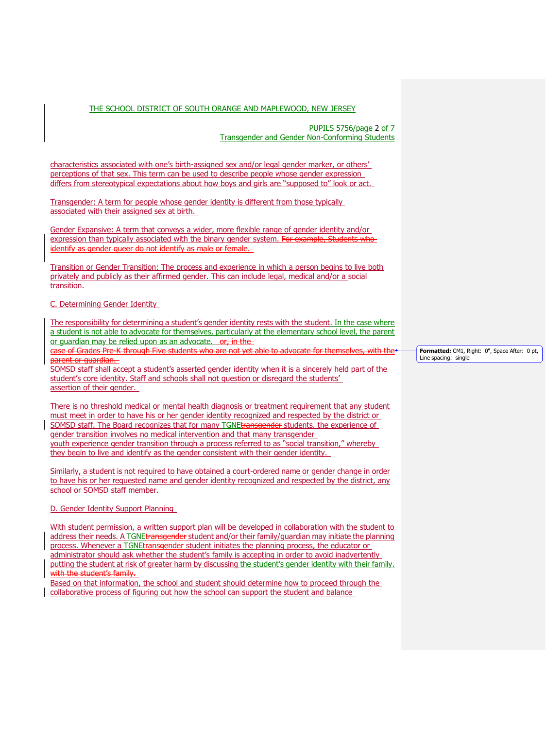PUPILS 5756/page 2 of 7 Transgender and Gender Non-Conforming Students

characteristics associated with one's birth-assigned sex and/or legal gender marker, or others' perceptions of that sex. This term can be used to describe people whose gender expression differs from stereotypical expectations about how boys and girls are "supposed to" look or act.

Transgender: A term for people whose gender identity is different from those typically associated with their assigned sex at birth.

Gender Expansive: A term that conveys a wider, more flexible range of gender identity and/or expression than typically associated with the binary gender system. For example, Students who identify as gender queer do not identify as male or female.

Transition or Gender Transition: The process and experience in which a person begins to live both privately and publicly as their affirmed gender. This can include legal, medical and/or a social transition.

### C. Determining Gender Identity

The responsibility for determining a student's gender identity rests with the student. In the case where a student is not able to advocate for themselves, particularly at the elementary school level, the parent or guardian may be relied upon as an advocate. or, in the

case of Grades Pre-K through Five students who are not yet able to advocate for them parent or quardian.

SOMSD staff shall accept a student's asserted gender identity when it is a sincerely held part of the student's core identity. Staff and schools shall not question or disregard the students' assertion of their gender.

There is no threshold medical or mental health diagnosis or treatment requirement that any student must meet in order to have his or her gender identity recognized and respected by the district or SOMSD staff. The Board recognizes that for many TGNEtransgender students, the experience of gender transition involves no medical intervention and that many transgender youth experience gender transition through a process referred to as "social transition," whereby they begin to live and identify as the gender consistent with their gender identity.

Similarly, a student is not required to have obtained a court-ordered name or gender change in order to have his or her requested name and gender identity recognized and respected by the district, any school or SOMSD staff member.

D. Gender Identity Support Planning

With student permission, a written support plan will be developed in collaboration with the student to address their needs. A TGNEtransgender student and/or their family/quardian may initiate the planning process. Whenever a TGNEtransgender student initiates the planning process, the educator or administrator should ask whether the student's family is accepting in order to avoid inadvertently putting the student at risk of greater harm by discussing the student's gender identity with their family. with the student's family.

Based on that information, the school and student should determine how to proceed through the collaborative process of figuring out how the school can support the student and balance

**Formatted:** CM1, Right: 0", Space After: 0 pt, Line spacing: single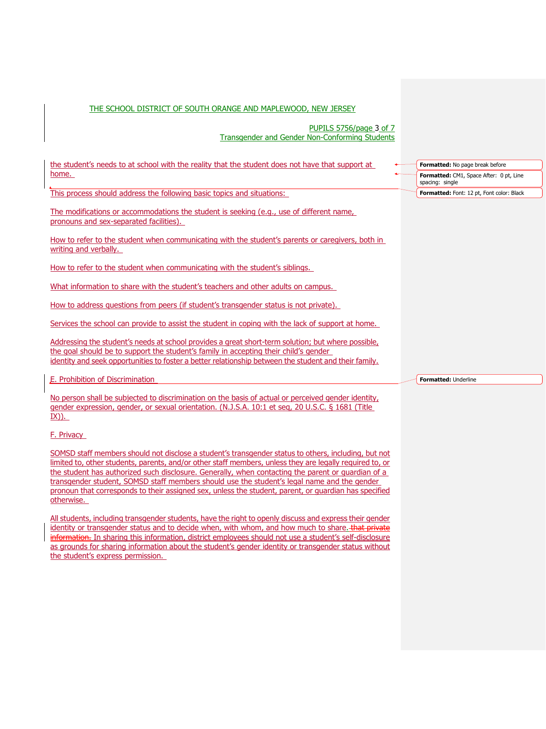PUPILS 5756/page 3 of 7 Transgender and Gender Non-Conforming Students

| the student's needs to at school with the reality that the student does not have that support at                                    | Formatted: No page break before                            |
|-------------------------------------------------------------------------------------------------------------------------------------|------------------------------------------------------------|
| home.                                                                                                                               | Formatted: CM1, Space After: 0 pt, Line<br>spacing: single |
| This process should address the following basic topics and situations:                                                              | Formatted: Font: 12 pt, Font color: Black                  |
| The modifications or accommodations the student is seeking (e.g., use of different name,<br>pronouns and sex-separated facilities). |                                                            |
| How to refer to the student when communicating with the student's parents or caregivers, both in<br>writing and verbally.           |                                                            |
| How to refer to the student when communicating with the student's siblings.                                                         |                                                            |
| What information to share with the student's teachers and other adults on campus.                                                   |                                                            |
| How to address questions from peers (if student's transgender status is not private).                                               |                                                            |
| Services the school can provide to assist the student in coping with the lack of support at home.                                   |                                                            |
| Addressing the student's needs at school provides a great short-term solution; but where possible,                                  |                                                            |

the goal should be to support the student's family in accepting their child's gender identity and seek opportunities to foster a better relationship between the student and their family.

E. Prohibition of Discrimination

No person shall be subjected to discrimination on the basis of actual or perceived gender identity, gender expression, gender, or sexual orientation. (N.J.S.A. 10:1 et seq, 20 U.S.C. § 1681 (Title  $I(X)$ ).

# F. Privacy

SOMSD staff members should not disclose a student's transgender status to others, including, but not limited to, other students, parents, and/or other staff members, unless they are legally required to, or the student has authorized such disclosure. Generally, when contacting the parent or guardian of a transgender student, SOMSD staff members should use the student's legal name and the gender pronoun that corresponds to their assigned sex, unless the student, parent, or guardian has specified otherwise.

All students, including transgender students, have the right to openly discuss and express their gender identity or transgender status and to decide when, with whom, and how much to share. that private information. In sharing this information, district employees should not use a student's self-disclosure as grounds for sharing information about the student's gender identity or transgender status without the student's express permission.

**Formatted:** Underline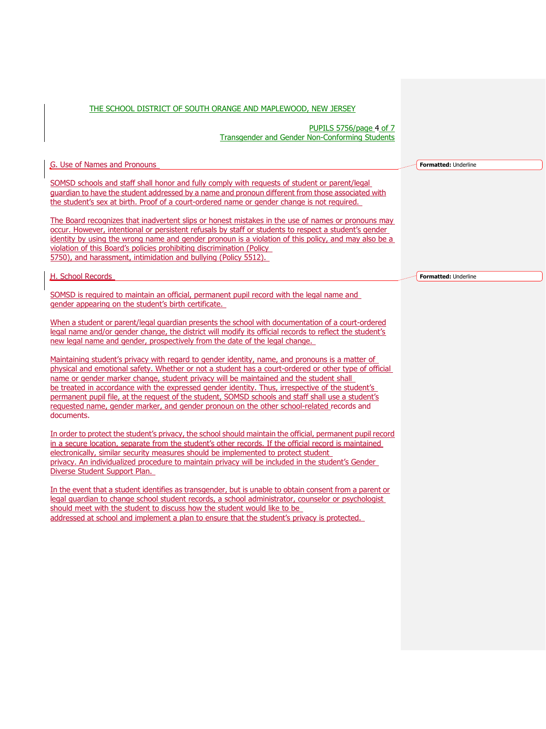PUPILS 5756/page 4 of 7 Transgender and Gender Non-Conforming Students

G. Use of Names and Pronouns

SOMSD schools and staff shall honor and fully comply with requests of student or parent/legal guardian to have the student addressed by a name and pronoun different from those associated with the student's sex at birth. Proof of a court-ordered name or gender change is not required.

The Board recognizes that inadvertent slips or honest mistakes in the use of names or pronouns may occur. However, intentional or persistent refusals by staff or students to respect a student's gender identity by using the wrong name and gender pronoun is a violation of this policy, and may also be a violation of this Board's policies prohibiting discrimination (Policy 5750), and harassment, intimidation and bullying (Policy 5512).

H. School Records

SOMSD is required to maintain an official, permanent pupil record with the legal name and gender appearing on the student's birth certificate.

When a student or parent/legal guardian presents the school with documentation of a court-ordered legal name and/or gender change, the district will modify its official records to reflect the student's new legal name and gender, prospectively from the date of the legal change.

Maintaining student's privacy with regard to gender identity, name, and pronouns is a matter of physical and emotional safety. Whether or not a student has a court-ordered or other type of official name or gender marker change, student privacy will be maintained and the student shall be treated in accordance with the expressed gender identity. Thus, irrespective of the student's permanent pupil file, at the request of the student, SOMSD schools and staff shall use a student's requested name, gender marker, and gender pronoun on the other school-related records and documents.

In order to protect the student's privacy, the school should maintain the official, permanent pupil record in a secure location, separate from the student's other records. If the official record is maintained electronically, similar security measures should be implemented to protect student privacy. An individualized procedure to maintain privacy will be included in the student's Gender Diverse Student Support Plan.

In the event that a student identifies as transgender, but is unable to obtain consent from a parent or legal guardian to change school student records, a school administrator, counselor or psychologist should meet with the student to discuss how the student would like to be addressed at school and implement a plan to ensure that the student's privacy is protected.

**Formatted:** Underline

**Formatted:** Underline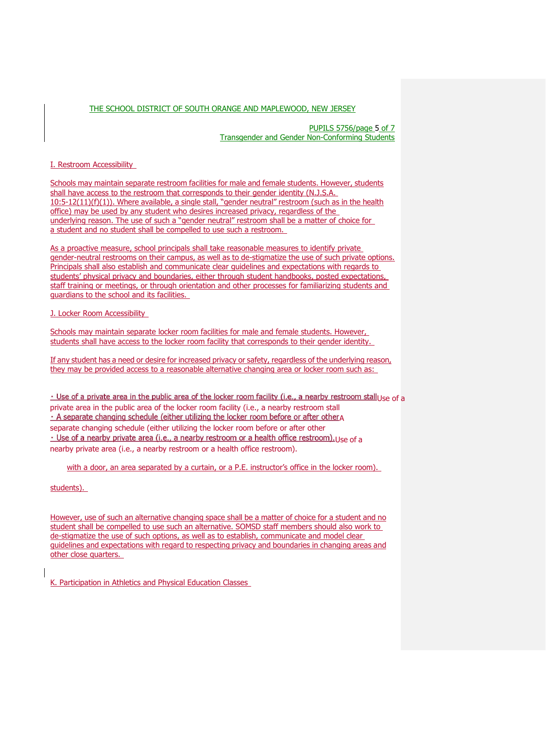PUPILS 5756/page 5 of 7 Transgender and Gender Non-Conforming Students

## I. Restroom Accessibility

Schools may maintain separate restroom facilities for male and female students. However, students shall have access to the restroom that corresponds to their gender identity (N.J.S.A. 10:5-12(11)(f)(1)). Where available, a single stall, "gender neutral" restroom (such as in the health office) may be used by any student who desires increased privacy, regardless of the underlying reason. The use of such a "gender neutral" restroom shall be a matter of choice for a student and no student shall be compelled to use such a restroom.

As a proactive measure, school principals shall take reasonable measures to identify private gender-neutral restrooms on their campus, as well as to de-stigmatize the use of such private options. Principals shall also establish and communicate clear guidelines and expectations with regards to students' physical privacy and boundaries, either through student handbooks, posted expectations, staff training or meetings, or through orientation and other processes for familiarizing students and guardians to the school and its facilities.

J. Locker Room Accessibility

Schools may maintain separate locker room facilities for male and female students. However, students shall have access to the locker room facility that corresponds to their gender identity.

If any student has a need or desire for increased privacy or safety, regardless of the underlying reason, they may be provided access to a reasonable alternative changing area or locker room such as:

. Use of a private area in the public area of the locker room facility (i.e., a nearby restroom stall use of a private area in the public area of the locker room facility (i.e., a nearby restroom stall . A separate changing schedule (either utilizing the locker room before or after other A separate changing schedule (either utilizing the locker room before or after other · Use of a nearby private area (i.e., a nearby restroom or a health office restroom). Use of a nearby private area (i.e., a nearby restroom or a health office restroom).

with a door, an area separated by a curtain, or a P.E. instructor's office in the locker room).

students).

However, use of such an alternative changing space shall be a matter of choice for a student and no student shall be compelled to use such an alternative. SOMSD staff members should also work to de-stigmatize the use of such options, as well as to establish, communicate and model clear guidelines and expectations with regard to respecting privacy and boundaries in changing areas and other close quarters.

K. Participation in Athletics and Physical Education Classes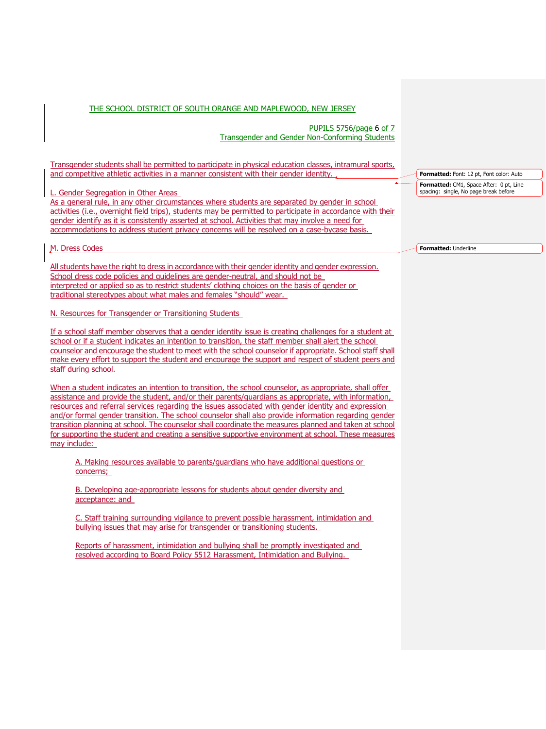PUPILS 5756/page 6 of 7 Transgender and Gender Non-Conforming Students

Transgender students shall be permitted to participate in physical education classes, intramural sports, and competitive athletic activities in a manner consistent with their gender identity.

L. Gender Segregation in Other Areas

As a general rule, in any other circumstances where students are separated by gender in school activities (i.e., overnight field trips), students may be permitted to participate in accordance with their gender identify as it is consistently asserted at school. Activities that may involve a need for accommodations to address student privacy concerns will be resolved on a case-bycase basis.

M. Dress Codes

All students have the right to dress in accordance with their gender identity and gender expression. School dress code policies and guidelines are gender-neutral, and should not be interpreted or applied so as to restrict students' clothing choices on the basis of gender or traditional stereotypes about what males and females "should" wear.

N. Resources for Transgender or Transitioning Students

If a school staff member observes that a gender identity issue is creating challenges for a student at school or if a student indicates an intention to transition, the staff member shall alert the school counselor and encourage the student to meet with the school counselor if appropriate. School staff shall make every effort to support the student and encourage the support and respect of student peers and staff during school.

When a student indicates an intention to transition, the school counselor, as appropriate, shall offer assistance and provide the student, and/or their parents/guardians as appropriate, with information, resources and referral services regarding the issues associated with gender identity and expression and/or formal gender transition. The school counselor shall also provide information regarding gender transition planning at school. The counselor shall coordinate the measures planned and taken at school for supporting the student and creating a sensitive supportive environment at school. These measures may include:

A. Making resources available to parents/guardians who have additional questions or concerns;

B. Developing age-appropriate lessons for students about gender diversity and acceptance: and

C. Staff training surrounding vigilance to prevent possible harassment, intimidation and bullying issues that may arise for transgender or transitioning students.

Reports of harassment, intimidation and bullying shall be promptly investigated and resolved according to Board Policy 5512 Harassment, Intimidation and Bullying.

**Formatted:** Font: 12 pt, Font color: Auto **Formatted:** CM1, Space After: 0 pt, Line spacing: single, No page break before

**Formatted:** Underline